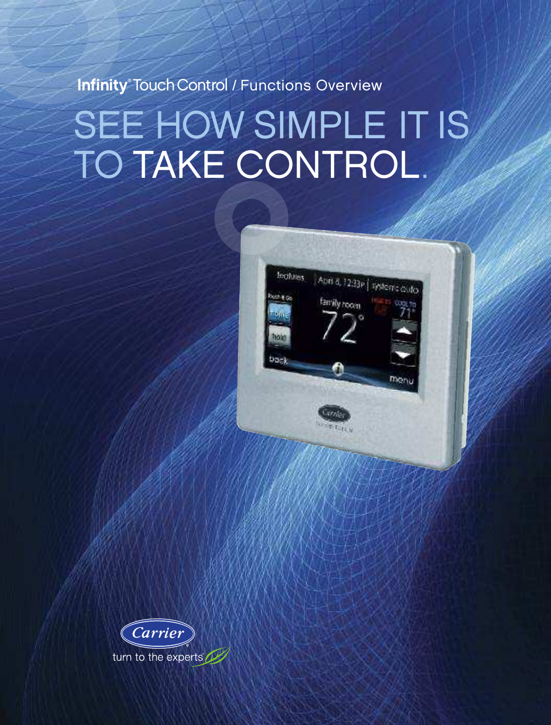Infinity® Touch Control / Functions Overview

# SEE HOW SIMPLE IT IS TO TAKE CONTROL.



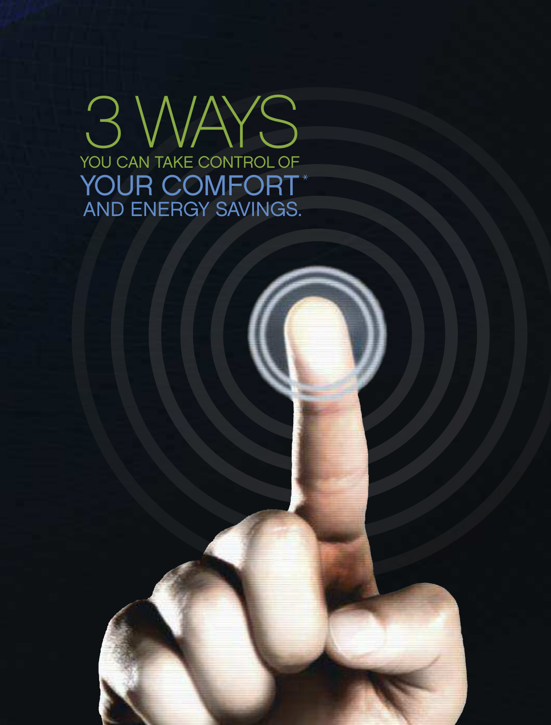YOU CAN TAKE CONTROL OF 3 WAYS YOUR COMFORT\* AND ENERGY SAVINGS.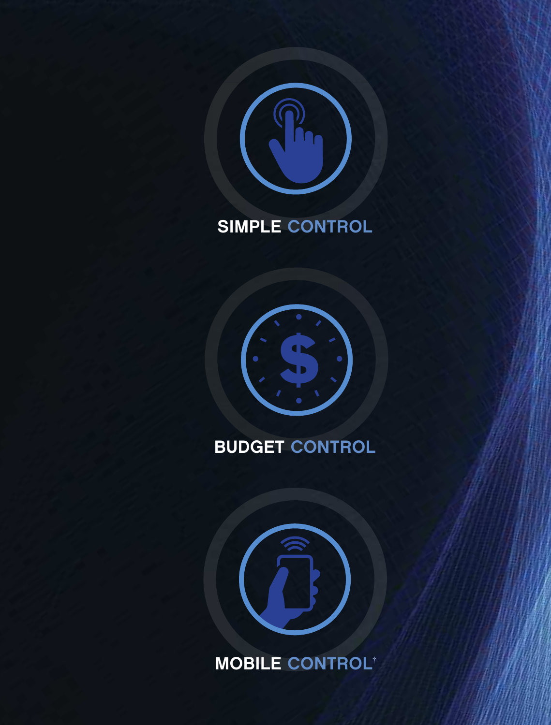

### SIMPLE CONTROL



### BUDGET CONTROL



MOBILE CONTROL †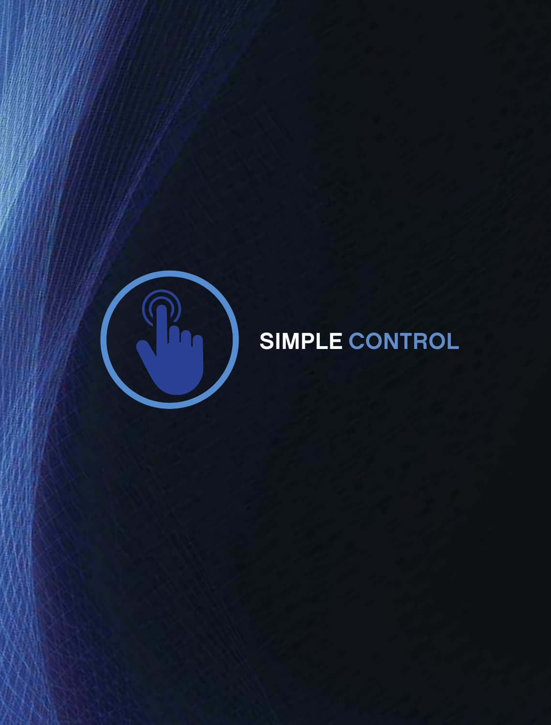

## SIMPLE CONTROL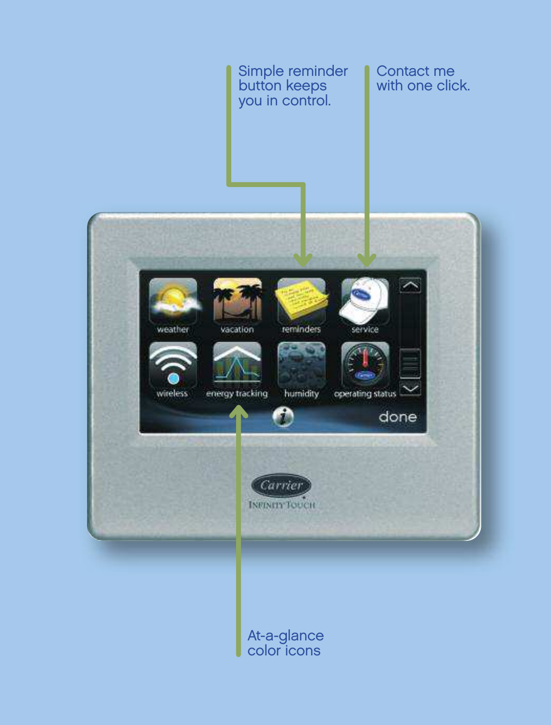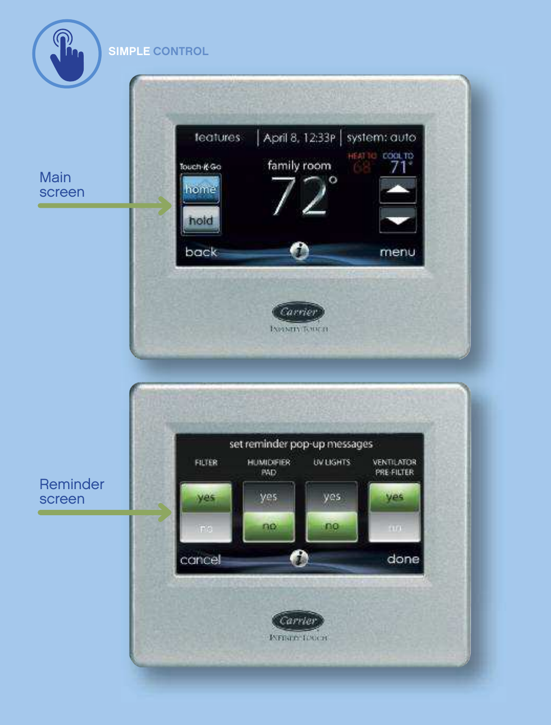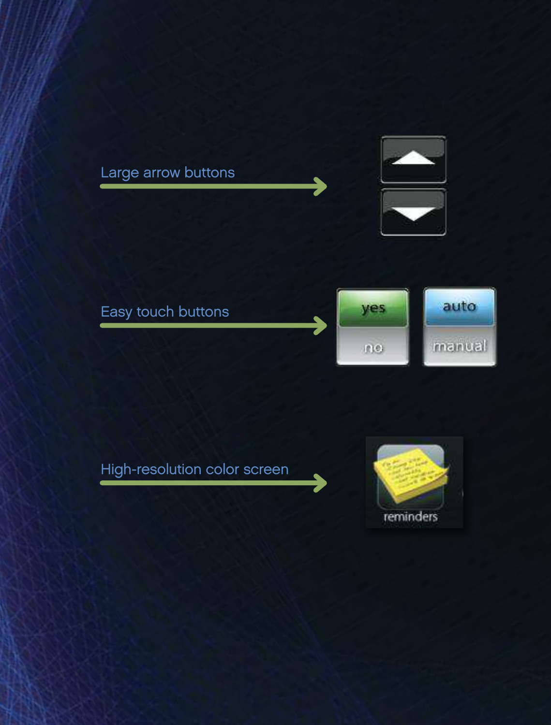



#### High-resolution color screen

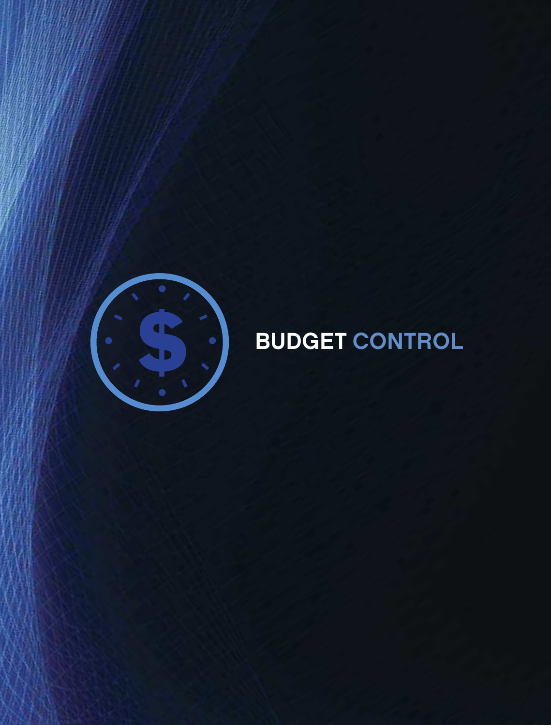

# **SOLUTION BUDGET CONTROL**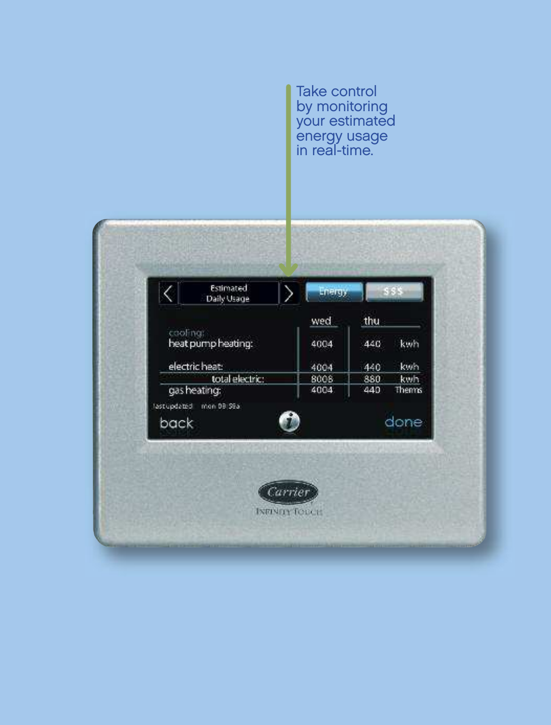Take control by monitoring your estimated energy usage in real-time.

|                                 | Daily Usage        | Energy<br>wed | thu |       |
|---------------------------------|--------------------|---------------|-----|-------|
|                                 | cooling:           |               |     |       |
|                                 | heat pump heating: | 4004          | 440 | kwh   |
| electric heat:                  |                    | 4004          | 440 | kwh   |
| total electric:                 |                    | 8008          | 880 | kwh   |
| gas heating:                    |                    | 4004          | 440 | Thems |
| last updated mon 08:59a<br>back |                    | done          |     |       |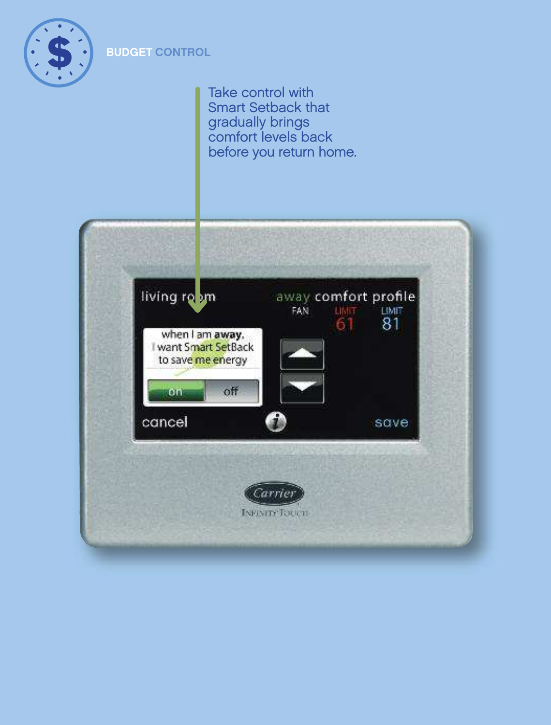

#### **BUDGET CONTROL**

Take control with Smart Setback that gradually brings comfort levels back before you return home.

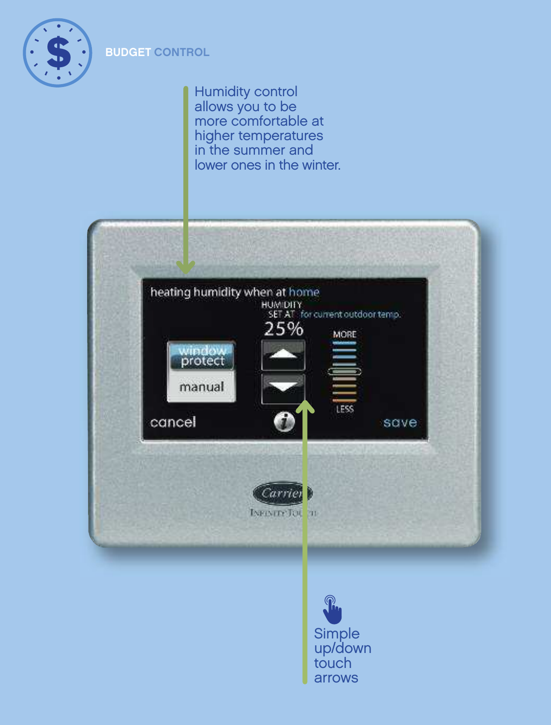

#### **BUDGET CONTROL**

Humidity control allows you to be more comfortable at higher temperatures in the summer and lower ones in the winter.

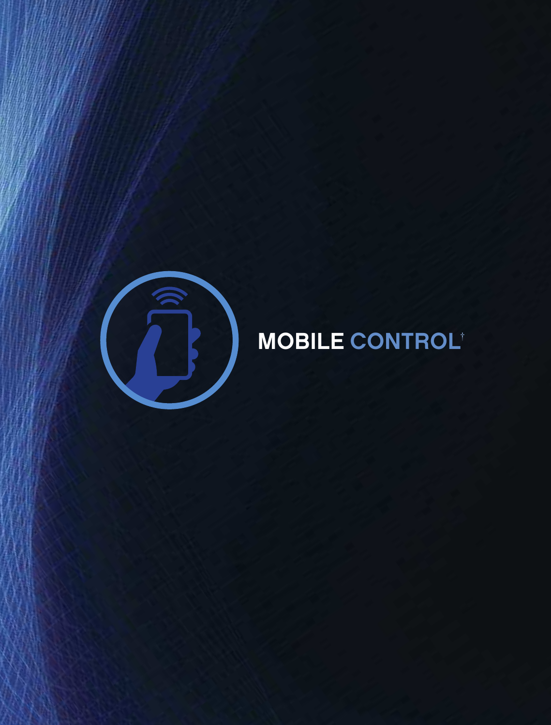

# MOBILE CONTROL†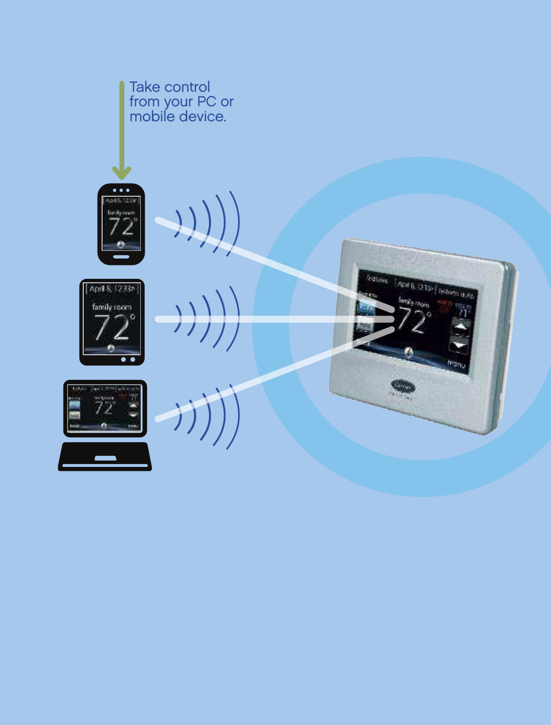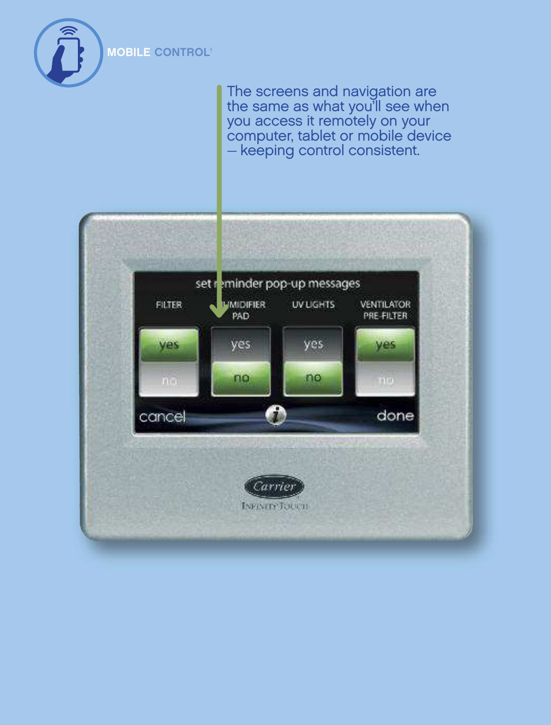

The screens and navigation are the same as what you'll see when you access it remotely on your computer, tablet or mobile device — keeping control consistent.

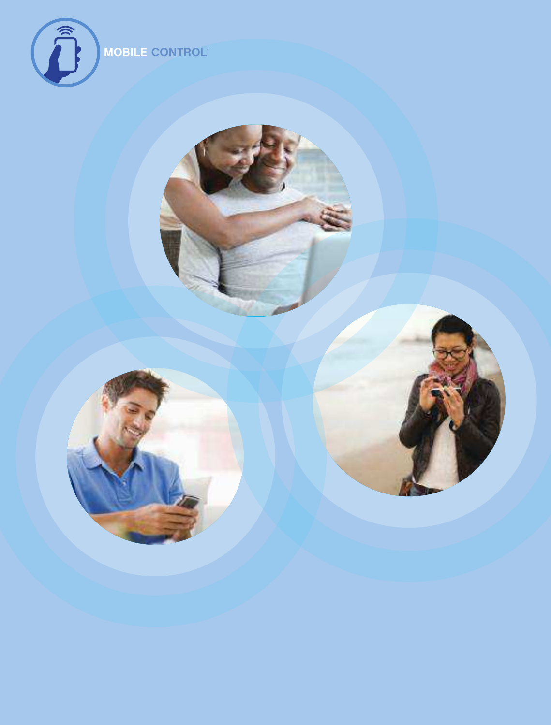

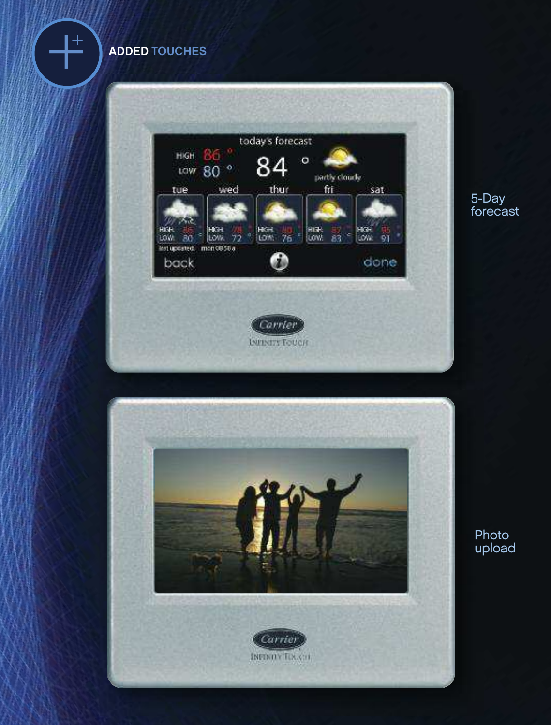ADDED TOUCHES

+



5-Day forecast



Photo upload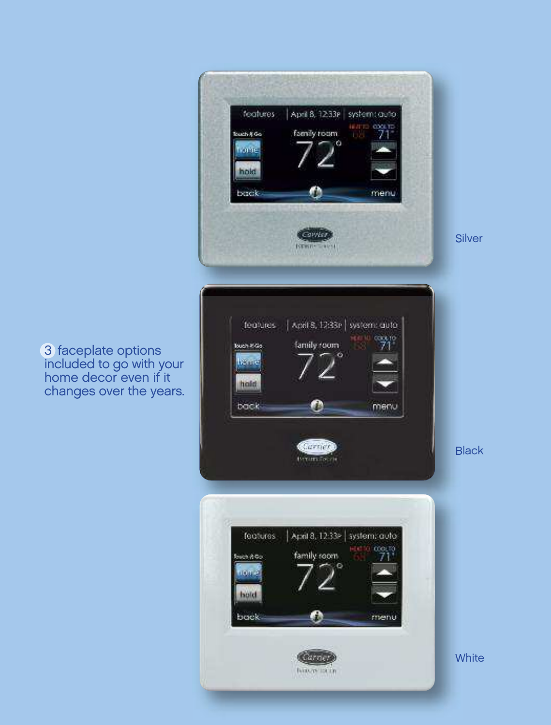

3 faceplate options included to go with your home decor even if it changes over the years.